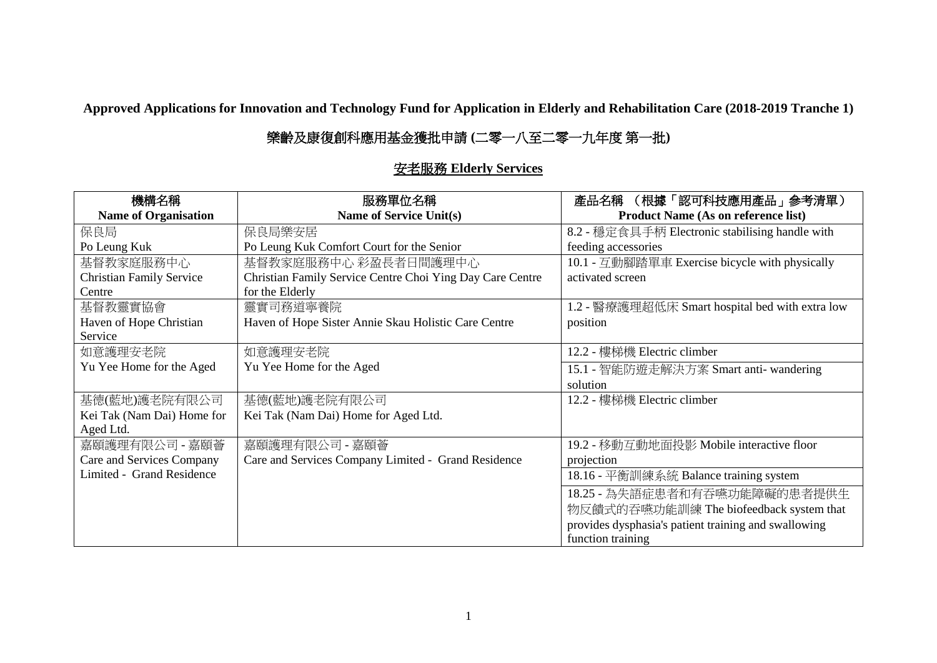**Approved Applications for Innovation and Technology Fund for Application in Elderly and Rehabilitation Care (2018-2019 Tranche 1)**

## 樂齡及康復創科應用基金獲批申請 **(**二零一八至二零一九年度 第一批**)**

## 安老服務 **Elderly Services**

| 機構名稱                            | 服務單位名稱                                                    | (根據「認可科技應用產品」参考清單)<br>產品名稱                           |
|---------------------------------|-----------------------------------------------------------|------------------------------------------------------|
| <b>Name of Organisation</b>     | Name of Service Unit(s)                                   | <b>Product Name (As on reference list)</b>           |
| 保良局                             | 保良局樂安居                                                    | 8.2 - 穩定食具手柄 Electronic stabilising handle with      |
| Po Leung Kuk                    | Po Leung Kuk Comfort Court for the Senior                 | feeding accessories                                  |
| 基督教家庭服務中心                       | 基督教家庭服務中心 彩盈長者日間護理中心                                      | 10.1 - 互動腳踏單車 Exercise bicycle with physically       |
| <b>Christian Family Service</b> | Christian Family Service Centre Choi Ying Day Care Centre | activated screen                                     |
| Centre                          | for the Elderly                                           |                                                      |
| 基督教靈實協會                         | 靈實司務道寧養院                                                  | 1.2 - 醫療護理超低床 Smart hospital bed with extra low      |
| Haven of Hope Christian         | Haven of Hope Sister Annie Skau Holistic Care Centre      | position                                             |
| Service                         |                                                           |                                                      |
| 如意護理安老院                         | 如意護理安老院                                                   | 12.2 - 樓梯機 Electric climber                          |
| Yu Yee Home for the Aged        | Yu Yee Home for the Aged                                  | 15.1 - 智能防遊走解決方案 Smart anti- wandering               |
|                                 |                                                           | solution                                             |
| 基德(藍地)護老院有限公司                   | 基德(藍地)護老院有限公司                                             | 12.2 - 樓梯機 Electric climber                          |
| Kei Tak (Nam Dai) Home for      | Kei Tak (Nam Dai) Home for Aged Ltd.                      |                                                      |
| Aged Ltd.                       |                                                           |                                                      |
| 嘉頤護理有限公司 - 嘉頤薈                  | 嘉頤護理有限公司 - 嘉頤薈                                            | 19.2 - 移動互動地面投影 Mobile interactive floor             |
| Care and Services Company       | Care and Services Company Limited - Grand Residence       | projection                                           |
| Limited - Grand Residence       |                                                           | 18.16 - 平衡訓練系統 Balance training system               |
|                                 |                                                           | 18.25 - 為失語症患者和有吞嚥功能障礙的患者提供生                         |
|                                 |                                                           | 物反饋式的吞嚥功能訓練 The biofeedback system that              |
|                                 |                                                           | provides dysphasia's patient training and swallowing |
|                                 |                                                           | function training                                    |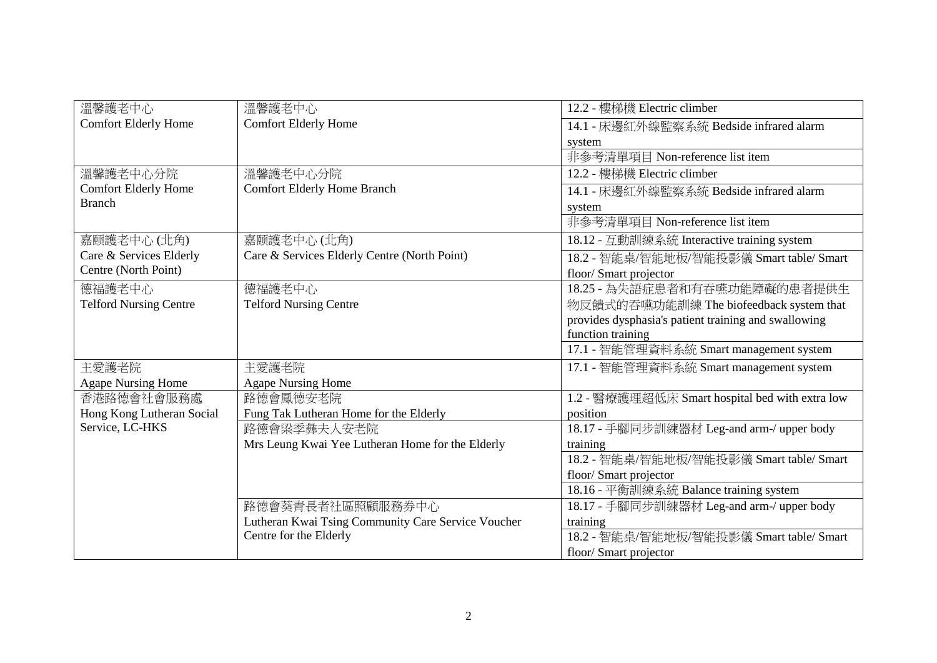| 溫馨護老中心                        | 溫馨護老中心                                             | 12.2 - 樓梯機 Electric climber                          |
|-------------------------------|----------------------------------------------------|------------------------------------------------------|
| <b>Comfort Elderly Home</b>   | <b>Comfort Elderly Home</b>                        | 14.1 - 床邊紅外線監察系統 Bedside infrared alarm              |
|                               |                                                    | system                                               |
|                               |                                                    | 非參考清單項目 Non-reference list item                      |
| 溫馨護老中心分院                      | 溫馨護老中心分院                                           | 12.2 - 樓梯機 Electric climber                          |
| <b>Comfort Elderly Home</b>   | <b>Comfort Elderly Home Branch</b>                 | 14.1 - 床邊紅外線監察系統 Bedside infrared alarm              |
| <b>Branch</b>                 |                                                    | system                                               |
|                               |                                                    | 非參考清單項目 Non-reference list item                      |
| 嘉颐護老中心(北角)                    | 嘉颐護老中心(北角)                                         | 18.12 - 互動訓練系統 Interactive training system           |
| Care & Services Elderly       | Care & Services Elderly Centre (North Point)       | 18.2 - 智能桌/智能地板/智能投影儀 Smart table/ Smart             |
| Centre (North Point)          |                                                    | floor/ Smart projector                               |
| 德福護老中心                        | 德福護老中心                                             | 18.25 - 為失語症患者和有吞嚥功能障礙的患者提供生                         |
| <b>Telford Nursing Centre</b> | <b>Telford Nursing Centre</b>                      | 物反饋式的吞嚥功能訓練 The biofeedback system that              |
|                               |                                                    | provides dysphasia's patient training and swallowing |
|                               |                                                    | function training                                    |
|                               |                                                    | 17.1 - 智能管理資料系統 Smart management system              |
| 主愛護老院                         | 主愛護老院                                              | 17.1 - 智能管理資料系統 Smart management system              |
| <b>Agape Nursing Home</b>     | <b>Agape Nursing Home</b>                          |                                                      |
| 香港路德會社會服務處                    | 路德會鳳德安老院                                           | 1.2 - 醫療護理超低床 Smart hospital bed with extra low      |
| Hong Kong Lutheran Social     | Fung Tak Lutheran Home for the Elderly             | position                                             |
| Service, LC-HKS               | 路德會梁季彝夫人安老院                                        | 18.17 - 手腳同步訓練器材 Leg-and arm-/ upper body            |
|                               | Mrs Leung Kwai Yee Lutheran Home for the Elderly   | training                                             |
|                               |                                                    | 18.2 - 智能桌/智能地板/智能投影儀 Smart table/ Smart             |
|                               |                                                    | floor/Smart projector                                |
|                               |                                                    | 18.16 - 平衡訓練系統 Balance training system               |
|                               | 路德會葵青長者社區照顧服務券中心                                   | 18.17 - 手腳同步訓練器材 Leg-and arm-/ upper body            |
|                               | Lutheran Kwai Tsing Community Care Service Voucher | training                                             |
|                               | Centre for the Elderly                             | 18.2 - 智能桌/智能地板/智能投影儀 Smart table/ Smart             |
|                               |                                                    | floor/Smart projector                                |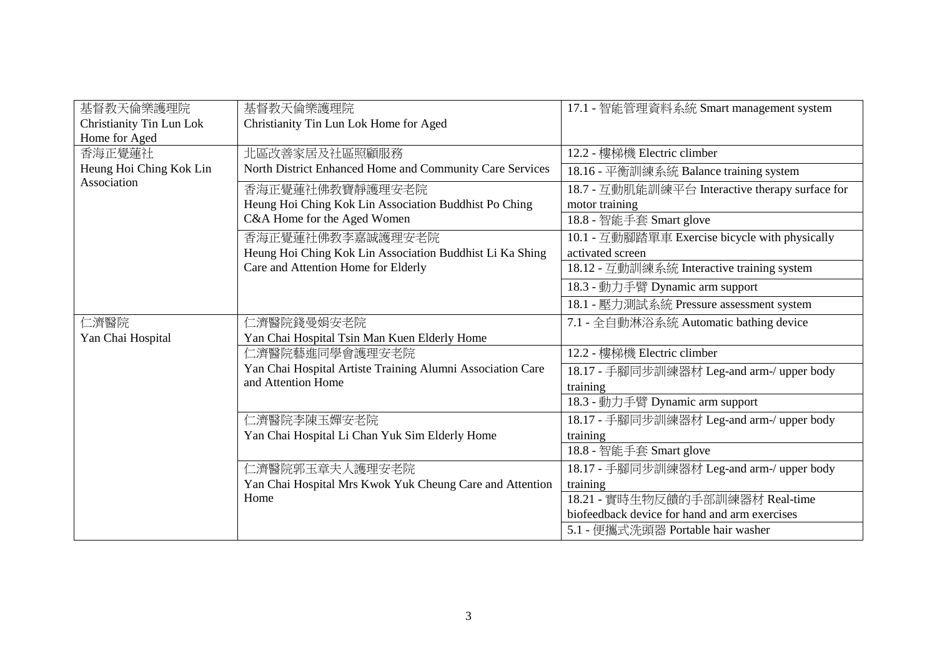| 基督教天倫樂護理院                | 基督教天倫樂護理院                                                  | 17.1 - 智能管理資料系統 Smart management system         |
|--------------------------|------------------------------------------------------------|-------------------------------------------------|
| Christianity Tin Lun Lok | Christianity Tin Lun Lok Home for Aged                     |                                                 |
| Home for Aged            |                                                            |                                                 |
| 香海正覺蓮社                   | 北區改善家居及社區照顧服務                                              | 12.2 - 樓梯機 Electric climber                     |
| Heung Hoi Ching Kok Lin  | North District Enhanced Home and Community Care Services   | 18.16 - 平衡訓練系統 Balance training system          |
| Association              | 香海正覺蓮社佛教寶靜護理安老院                                            | 18.7 - 互動肌能訓練平台 Interactive therapy surface for |
|                          | Heung Hoi Ching Kok Lin Association Buddhist Po Ching      | motor training                                  |
|                          | C&A Home for the Aged Women                                | 18.8 - 智能手套 Smart glove                         |
|                          | 香海正覺蓮社佛教李嘉誠護理安老院                                           | 10.1 - 互動腳踏單車 Exercise bicycle with physically  |
|                          | Heung Hoi Ching Kok Lin Association Buddhist Li Ka Shing   | activated screen                                |
|                          | Care and Attention Home for Elderly                        | 18.12 - 互動訓練系統 Interactive training system      |
|                          |                                                            | 18.3 - 動力手臂 Dynamic arm support                 |
|                          |                                                            | 18.1 - 壓力測試系統 Pressure assessment system        |
| 仁濟醫院                     | 仁濟醫院錢曼娟安老院                                                 | 7.1 - 全自動淋浴系統 Automatic bathing device          |
| Yan Chai Hospital        | Yan Chai Hospital Tsin Man Kuen Elderly Home               |                                                 |
|                          | 仁濟醫院藝進同學會護理安老院                                             | 12.2 - 樓梯機 Electric climber                     |
|                          | Yan Chai Hospital Artiste Training Alumni Association Care | 18.17 - 手腳同步訓練器材 Leg-and arm-/ upper body       |
|                          | and Attention Home                                         | training                                        |
|                          |                                                            | 18.3 - 動力手臂 Dynamic arm support                 |
|                          | 仁濟醫院李陳玉嬋安老院                                                | 18.17 - 手腳同步訓練器材 Leg-and arm-/ upper body       |
|                          | Yan Chai Hospital Li Chan Yuk Sim Elderly Home             | training                                        |
|                          |                                                            | 18.8 - 智能手套 Smart glove                         |
|                          | 仁濟醫院郭玉章夫人護理安老院                                             | 18.17 - 手腳同步訓練器材 Leg-and arm-/ upper body       |
|                          | Yan Chai Hospital Mrs Kwok Yuk Cheung Care and Attention   | training                                        |
|                          | Home                                                       | 18.21 - 實時生物反饋的手部訓練器材 Real-time                 |
|                          |                                                            | biofeedback device for hand and arm exercises   |
|                          |                                                            | 5.1 - 便攜式洗頭器 Portable hair washer               |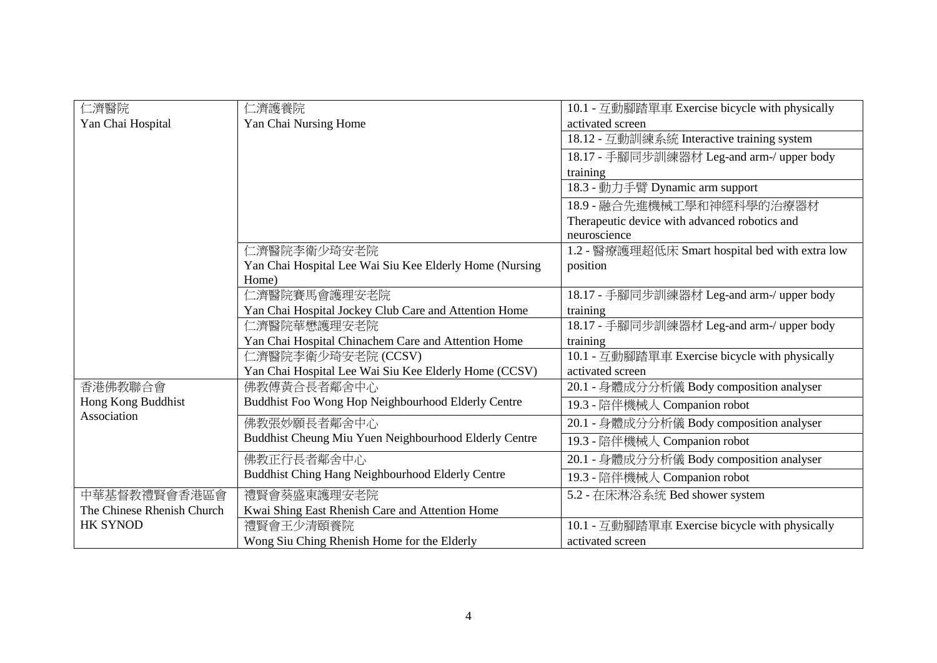| 仁濟醫院                       | 二濟護養院                                                   | 10.1 - 互動腳踏單車 Exercise bicycle with physically  |
|----------------------------|---------------------------------------------------------|-------------------------------------------------|
| Yan Chai Hospital          | Yan Chai Nursing Home                                   | activated screen                                |
|                            |                                                         | 18.12 - 互動訓練系統 Interactive training system      |
|                            |                                                         | 18.17 - 手腳同步訓練器材 Leg-and arm-/ upper body       |
|                            |                                                         | training                                        |
|                            |                                                         | 18.3 - 動力手臂 Dynamic arm support                 |
|                            |                                                         | 18.9 - 融合先進機械工學和神經科學的治療器材                       |
|                            |                                                         | Therapeutic device with advanced robotics and   |
|                            |                                                         | neuroscience                                    |
|                            | 仁濟醫院李衛少琦安老院                                             | 1.2 - 醫療護理超低床 Smart hospital bed with extra low |
|                            | Yan Chai Hospital Lee Wai Siu Kee Elderly Home (Nursing | position                                        |
|                            | Home)                                                   |                                                 |
|                            | 二濟醫院賽馬會護理安老院                                            | 18.17 - 手腳同步訓練器材 Leg-and arm-/ upper body       |
|                            | Yan Chai Hospital Jockey Club Care and Attention Home   | training                                        |
|                            | 二濟醫院華懋護理安老院                                             | 18.17 - 手腳同步訓練器材 Leg-and arm-/ upper body       |
|                            | Yan Chai Hospital Chinachem Care and Attention Home     | training                                        |
|                            | 仁濟醫院李衛少琦安老院 (CCSV)                                      | 10.1 - 互動腳踏單車 Exercise bicycle with physically  |
|                            | Yan Chai Hospital Lee Wai Siu Kee Elderly Home (CCSV)   | activated screen                                |
| 香港佛教聯合會                    | 佛教傅黃合長者鄰舍中心                                             | 20.1 - 身體成分分析儀 Body composition analyser        |
| Hong Kong Buddhist         | Buddhist Foo Wong Hop Neighbourhood Elderly Centre      | 19.3 - 陪伴機械人 Companion robot                    |
| Association                | 佛教張妙願長者鄰舍中心                                             | 20.1 - 身體成分分析儀 Body composition analyser        |
|                            | Buddhist Cheung Miu Yuen Neighbourhood Elderly Centre   | 19.3 - 陪伴機械人 Companion robot                    |
|                            | 佛教正行長者鄰舍中心                                              | 20.1 - 身體成分分析儀 Body composition analyser        |
|                            | Buddhist Ching Hang Neighbourhood Elderly Centre        | 19.3 - 陪伴機械人 Companion robot                    |
| 中華基督教禮賢會香港區會               | 禮賢會葵盛東護理安老院                                             | 5.2 - 在床淋浴系统 Bed shower system                  |
| The Chinese Rhenish Church | Kwai Shing East Rhenish Care and Attention Home         |                                                 |
| <b>HK SYNOD</b>            | 禮賢會王少清頤養院                                               | 10.1 - 互動腳踏單車 Exercise bicycle with physically  |
|                            | Wong Siu Ching Rhenish Home for the Elderly             | activated screen                                |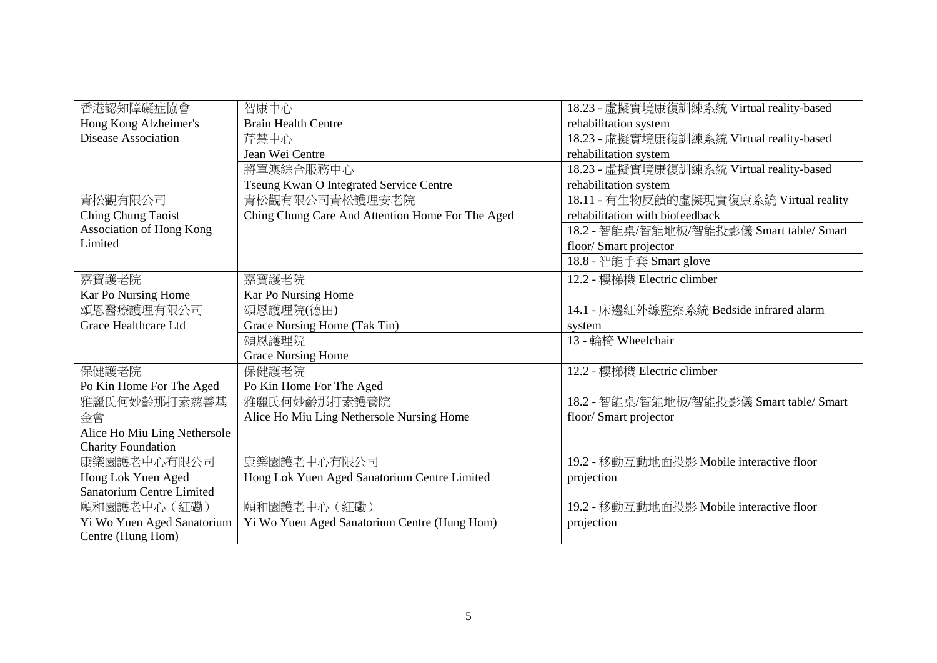| 香港認知障礙症協會                       | 智康中心                                             | 18.23 - 虛擬實境康復訓練系統 Virtual reality-based |
|---------------------------------|--------------------------------------------------|------------------------------------------|
| Hong Kong Alzheimer's           | <b>Brain Health Centre</b>                       | rehabilitation system                    |
| Disease Association             | 芹慧中心                                             | 18.23 - 虛擬實境康復訓練系統 Virtual reality-based |
|                                 | Jean Wei Centre                                  | rehabilitation system                    |
|                                 | 將軍澳綜合服務中心                                        | 18.23 - 虛擬實境康復訓練系統 Virtual reality-based |
|                                 | Tseung Kwan O Integrated Service Centre          | rehabilitation system                    |
| 青松觀有限公司                         | 青松觀有限公司青松護理安老院                                   | 18.11 - 有生物反饋的虛擬現實復康系統 Virtual reality   |
| Ching Chung Taoist              | Ching Chung Care And Attention Home For The Aged | rehabilitation with biofeedback          |
| <b>Association of Hong Kong</b> |                                                  | 18.2 - 智能桌/智能地板/智能投影儀 Smart table/ Smart |
| Limited                         |                                                  | floor/ Smart projector                   |
|                                 |                                                  | 18.8 - 智能手套 Smart glove                  |
| 嘉寶護老院                           | 嘉寶護老院                                            | 12.2 - 樓梯機 Electric climber              |
| Kar Po Nursing Home             | Kar Po Nursing Home                              |                                          |
| 頌恩醫療護理有限公司                      | 頌恩護理院(德田)                                        | 14.1 - 床邊紅外線監察系統 Bedside infrared alarm  |
| Grace Healthcare Ltd            | Grace Nursing Home (Tak Tin)                     | system                                   |
|                                 | 頌恩護理院                                            | 13 - 輪椅 Wheelchair                       |
|                                 | <b>Grace Nursing Home</b>                        |                                          |
| 保健護老院                           | 保健護老院                                            | 12.2 - 樓梯機 Electric climber              |
| Po Kin Home For The Aged        | Po Kin Home For The Aged                         |                                          |
| 雅麗氏何妙齡那打素慈善基                    | 雅麗氏何妙齡那打素護養院                                     | 18.2 - 智能桌/智能地板/智能投影儀 Smart table/ Smart |
| 金會                              | Alice Ho Miu Ling Nethersole Nursing Home        | floor/ Smart projector                   |
| Alice Ho Miu Ling Nethersole    |                                                  |                                          |
| <b>Charity Foundation</b>       |                                                  |                                          |
| 康樂園護老中心有限公司                     | 康樂園護老中心有限公司                                      | 19.2 - 移動互動地面投影 Mobile interactive floor |
| Hong Lok Yuen Aged              | Hong Lok Yuen Aged Sanatorium Centre Limited     | projection                               |
| Sanatorium Centre Limited       |                                                  |                                          |
| 頤和園護老中心 (紅磡)                    | 頤和園護老中心 (紅磡)                                     | 19.2 - 移動互動地面投影 Mobile interactive floor |
| Yi Wo Yuen Aged Sanatorium      | Yi Wo Yuen Aged Sanatorium Centre (Hung Hom)     | projection                               |
| Centre (Hung Hom)               |                                                  |                                          |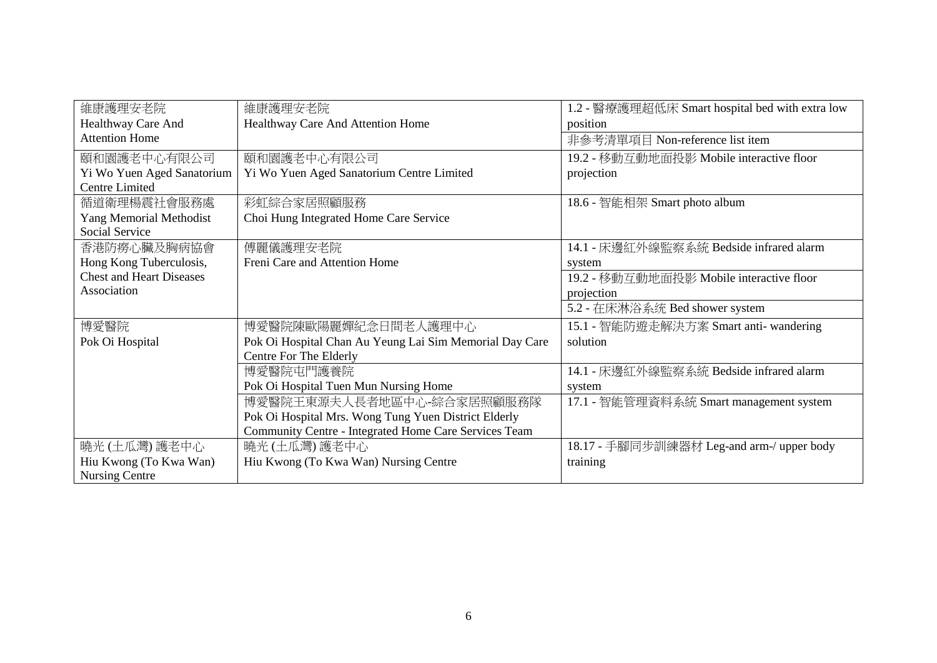| 維康護理安老院                         | 維康護理安老院                                                 | 1.2 - 醫療護理超低床 Smart hospital bed with extra low |
|---------------------------------|---------------------------------------------------------|-------------------------------------------------|
| Healthway Care And              | Healthway Care And Attention Home                       | position                                        |
| <b>Attention Home</b>           |                                                         | 非參考清單項目 Non-reference list item                 |
| 頤和園護老中心有限公司                     | 頤和園護老中心有限公司                                             | 19.2 - 移動互動地面投影 Mobile interactive floor        |
| Yi Wo Yuen Aged Sanatorium      | Yi Wo Yuen Aged Sanatorium Centre Limited               | projection                                      |
| <b>Centre Limited</b>           |                                                         |                                                 |
| 循道衛理楊震社會服務處                     | 彩虹綜合家居照顧服務                                              | 18.6 - 智能相架 Smart photo album                   |
| Yang Memorial Methodist         | Choi Hung Integrated Home Care Service                  |                                                 |
| <b>Social Service</b>           |                                                         |                                                 |
| 香港防癆心臟及胸病協會                     | 傅麗儀護理安老院                                                | 14.1 - 床邊紅外線監察系統 Bedside infrared alarm         |
| Hong Kong Tuberculosis,         | Freni Care and Attention Home                           | system                                          |
| <b>Chest and Heart Diseases</b> |                                                         | 19.2 - 移動互動地面投影 Mobile interactive floor        |
| Association                     |                                                         | projection                                      |
|                                 |                                                         | 5.2 - 在床淋浴系统 Bed shower system                  |
| 博愛醫院                            | 博愛醫院陳歐陽麗嬋紀念日間老人護理中心                                     | 15.1 - 智能防遊走解決方案 Smart anti- wandering          |
| Pok Oi Hospital                 | Pok Oi Hospital Chan Au Yeung Lai Sim Memorial Day Care | solution                                        |
|                                 | Centre For The Elderly                                  |                                                 |
|                                 | 博愛醫院屯門護養院                                               | 14.1 - 床邊紅外線監察系統 Bedside infrared alarm         |
|                                 | Pok Oi Hospital Tuen Mun Nursing Home                   | system                                          |
|                                 | 博愛醫院王東源夫人長者地區中心-綜合家居照顧服務隊                               | 17.1 - 智能管理資料系統 Smart management system         |
|                                 | Pok Oi Hospital Mrs. Wong Tung Yuen District Elderly    |                                                 |
|                                 | Community Centre - Integrated Home Care Services Team   |                                                 |
| 曉光 (土瓜灣) 護老中心                   | 曉光(土瓜灣)護老中心                                             | 18.17 - 手腳同步訓練器材 Leg-and arm-/ upper body       |
| Hiu Kwong (To Kwa Wan)          | Hiu Kwong (To Kwa Wan) Nursing Centre                   | training                                        |
| <b>Nursing Centre</b>           |                                                         |                                                 |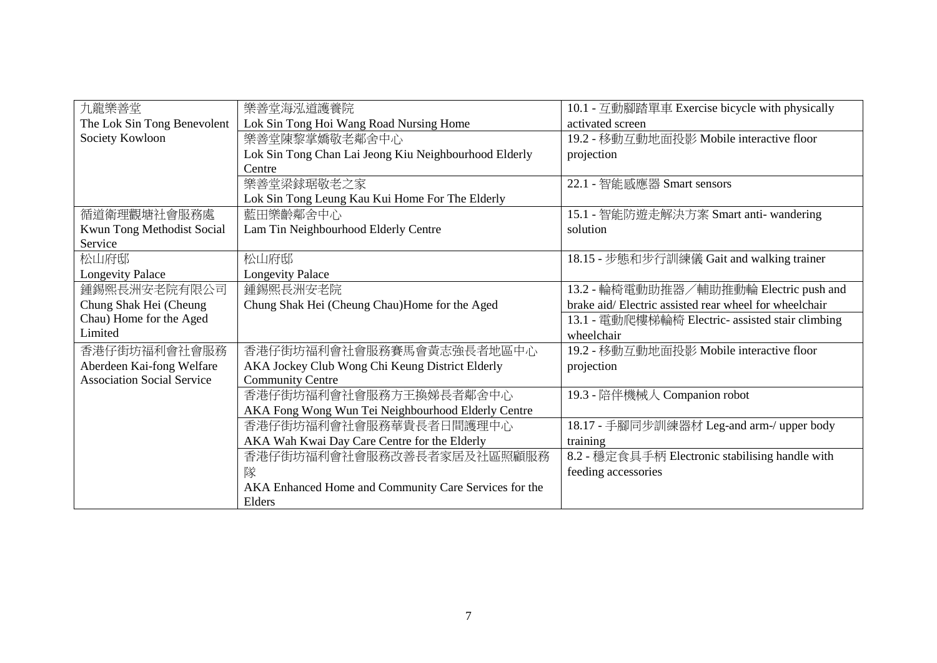| 九龍樂善堂                             | 樂善堂海泓道護養院                                             | 10.1 - 互動腳踏單車 Exercise bicycle with physically        |
|-----------------------------------|-------------------------------------------------------|-------------------------------------------------------|
| The Lok Sin Tong Benevolent       | Lok Sin Tong Hoi Wang Road Nursing Home               | activated screen                                      |
| Society Kowloon                   | 樂善堂陳黎掌嬌敬老鄰舍中心                                         | 19.2 - 移動互動地面投影 Mobile interactive floor              |
|                                   | Lok Sin Tong Chan Lai Jeong Kiu Neighbourhood Elderly | projection                                            |
|                                   | Centre                                                |                                                       |
|                                   | 樂善堂梁銶琚敬老之家                                            | 22.1 - 智能感應器 Smart sensors                            |
|                                   | Lok Sin Tong Leung Kau Kui Home For The Elderly       |                                                       |
| 循道衛理觀塘社會服務處                       | 藍田樂齡鄰舍中心                                              | 15.1 - 智能防遊走解決方案 Smart anti- wandering                |
| Kwun Tong Methodist Social        | Lam Tin Neighbourhood Elderly Centre                  | solution                                              |
| Service                           |                                                       |                                                       |
| 松山府邸                              | 松山府邸                                                  | 18.15 - 步態和步行訓練儀 Gait and walking trainer             |
| <b>Longevity Palace</b>           | <b>Longevity Palace</b>                               |                                                       |
| 鍾錫熙長洲安老院有限公司                      | 鍾錫熙長洲安老院                                              | 13.2 - 輪椅電動助推器/輔助推動輪 Electric push and                |
| Chung Shak Hei (Cheung            | Chung Shak Hei (Cheung Chau)Home for the Aged         | brake aid/Electric assisted rear wheel for wheelchair |
| Chau) Home for the Aged           |                                                       | 13.1 - 電動爬樓梯輪椅 Electric- assisted stair climbing      |
| Limited                           |                                                       | wheelchair                                            |
| 香港仔街坊福利會社會服務                      | 香港仔街坊福利會社會服務賽馬會黃志強長者地區中心                              | 19.2 - 移動互動地面投影 Mobile interactive floor              |
| Aberdeen Kai-fong Welfare         | AKA Jockey Club Wong Chi Keung District Elderly       | projection                                            |
| <b>Association Social Service</b> | <b>Community Centre</b>                               |                                                       |
|                                   | 香港仔街坊福利會社會服務方王換娣長者鄰舍中心                                | 19.3 - 陪伴機械人 Companion robot                          |
|                                   | AKA Fong Wong Wun Tei Neighbourhood Elderly Centre    |                                                       |
|                                   | 香港仔街坊福利會社會服務華貴長者日間護理中心                                | 18.17 - 手腳同步訓練器材 Leg-and arm-/ upper body             |
|                                   | AKA Wah Kwai Day Care Centre for the Elderly          | training                                              |
|                                   | 香港仔街坊福利會社會服務改善長者家居及社區照顧服務                             | 8.2 - 穩定食具手柄 Electronic stabilising handle with       |
|                                   | 隊                                                     | feeding accessories                                   |
|                                   | AKA Enhanced Home and Community Care Services for the |                                                       |
|                                   | Elders                                                |                                                       |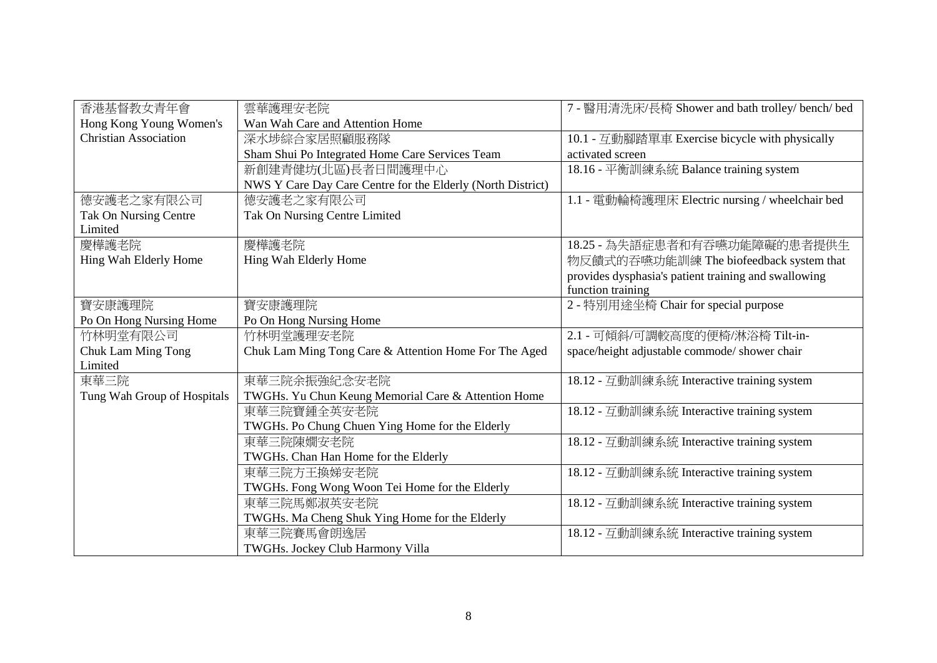| 香港基督教女青年會                    | 雲華護理安老院                                                     | 7 - 醫用清洗床/長椅 Shower and bath trolley/ bench/ bed     |
|------------------------------|-------------------------------------------------------------|------------------------------------------------------|
| Hong Kong Young Women's      | Wan Wah Care and Attention Home                             |                                                      |
| <b>Christian Association</b> | 深水埗綜合家居照顧服務隊                                                | 10.1 - 互動腳踏單車 Exercise bicycle with physically       |
|                              | Sham Shui Po Integrated Home Care Services Team             | activated screen                                     |
|                              | 新創建青健坊(北區)長者日間護理中心                                          | 18.16 - 平衡訓練系統 Balance training system               |
|                              | NWS Y Care Day Care Centre for the Elderly (North District) |                                                      |
| 德安護老之家有限公司                   | 德安護老之家有限公司                                                  | 1.1 - 電動輪椅護理床 Electric nursing / wheelchair bed      |
| <b>Tak On Nursing Centre</b> | Tak On Nursing Centre Limited                               |                                                      |
| Limited                      |                                                             |                                                      |
| 慶樺護老院                        | 慶樺護老院                                                       | 18.25 - 為失語症患者和有吞嚥功能障礙的患者提供生                         |
| Hing Wah Elderly Home        | Hing Wah Elderly Home                                       | 物反饋式的吞嚥功能訓練 The biofeedback system that              |
|                              |                                                             | provides dysphasia's patient training and swallowing |
|                              |                                                             | function training                                    |
| 寶安康護理院                       | 寶安康護理院                                                      | 2 - 特別用途坐椅 Chair for special purpose                 |
| Po On Hong Nursing Home      | Po On Hong Nursing Home                                     |                                                      |
| 竹林明堂有限公司                     | 竹林明堂護理安老院                                                   | 2.1 - 可傾斜/可調較高度的便椅/淋浴椅 Tilt-in-                      |
| <b>Chuk Lam Ming Tong</b>    | Chuk Lam Ming Tong Care & Attention Home For The Aged       | space/height adjustable commode/ shower chair        |
| Limited                      |                                                             |                                                      |
| 東華三院                         | 東華三院余振強紀念安老院                                                | 18.12 - 互動訓練系統 Interactive training system           |
| Tung Wah Group of Hospitals  | TWGHs. Yu Chun Keung Memorial Care & Attention Home         |                                                      |
|                              | 東華三院寶鍾全英安老院                                                 | 18.12 - 互動訓練系統 Interactive training system           |
|                              | TWGHs. Po Chung Chuen Ying Home for the Elderly             |                                                      |
|                              | 東華三院陳嫺安老院                                                   | 18.12 - 互動訓練系統 Interactive training system           |
|                              | TWGHs. Chan Han Home for the Elderly                        |                                                      |
|                              | 東華三院方王換娣安老院                                                 | 18.12 - 互動訓練系統 Interactive training system           |
|                              | TWGHs. Fong Wong Woon Tei Home for the Elderly              |                                                      |
|                              | 東華三院馬鄭淑英安老院                                                 | 18.12 - 互動訓練系統 Interactive training system           |
|                              | TWGHs. Ma Cheng Shuk Ying Home for the Elderly              |                                                      |
|                              | 東華三院賽馬會朗逸居                                                  | 18.12 - 互動訓練系統 Interactive training system           |
|                              | TWGHs. Jockey Club Harmony Villa                            |                                                      |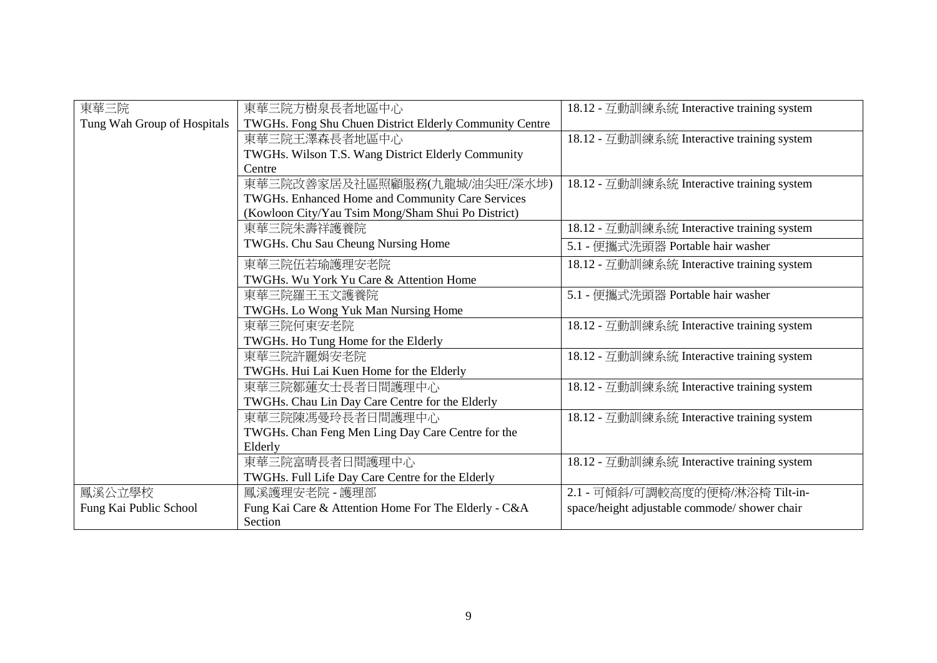| 東華三院                        | 東華三院方樹泉長者地區中心                                           | 18.12 - 互動訓練系統 Interactive training system    |
|-----------------------------|---------------------------------------------------------|-----------------------------------------------|
| Tung Wah Group of Hospitals | TWGHs. Fong Shu Chuen District Elderly Community Centre |                                               |
|                             | 東華三院王澤森長者地區中心                                           | 18.12 - 互動訓練系統 Interactive training system    |
|                             | TWGHs. Wilson T.S. Wang District Elderly Community      |                                               |
|                             | Centre                                                  |                                               |
|                             | 東華三院改善家居及社區照顧服務(九龍城/油尖旺/深水埗)                            | 18.12 - 互動訓練系統 Interactive training system    |
|                             | TWGHs. Enhanced Home and Community Care Services        |                                               |
|                             | (Kowloon City/Yau Tsim Mong/Sham Shui Po District)      |                                               |
|                             | 東華三院朱壽祥護養院                                              | 18.12 - 互動訓練系統 Interactive training system    |
|                             | TWGHs. Chu Sau Cheung Nursing Home                      | 5.1 - 便攜式洗頭器 Portable hair washer             |
|                             | 東華三院伍若瑜護理安老院                                            | 18.12 - 互動訓練系統 Interactive training system    |
|                             | TWGHs. Wu York Yu Care & Attention Home                 |                                               |
|                             | 東華三院羅王玉文護養院                                             | 5.1 - 便攜式洗頭器 Portable hair washer             |
|                             | TWGHs. Lo Wong Yuk Man Nursing Home                     |                                               |
|                             | 東華三院何東安老院                                               | 18.12 - 互動訓練系統 Interactive training system    |
|                             | TWGHs. Ho Tung Home for the Elderly                     |                                               |
|                             | 東華三院許麗娟安老院                                              | 18.12 - 互動訓練系統 Interactive training system    |
|                             | TWGHs. Hui Lai Kuen Home for the Elderly                |                                               |
|                             | 東華三院鄒蓮女士長者日間護理中心                                        | 18.12 - 互動訓練系統 Interactive training system    |
|                             | TWGHs. Chau Lin Day Care Centre for the Elderly         |                                               |
|                             | 東華三院陳馮曼玲長者日間護理中心                                        | 18.12 - 互動訓練系統 Interactive training system    |
|                             | TWGHs. Chan Feng Men Ling Day Care Centre for the       |                                               |
|                             | Elderly                                                 |                                               |
|                             | 東華三院富晴長者日間護理中心                                          | 18.12 - 互動訓練系統 Interactive training system    |
|                             | TWGHs. Full Life Day Care Centre for the Elderly        |                                               |
| 鳳溪公立學校                      | 鳳溪護理安老院 - 護理部                                           | 2.1 - 可傾斜/可調較高度的便椅/淋浴椅 Tilt-in-               |
| Fung Kai Public School      | Fung Kai Care & Attention Home For The Elderly - C&A    | space/height adjustable commode/ shower chair |
|                             | Section                                                 |                                               |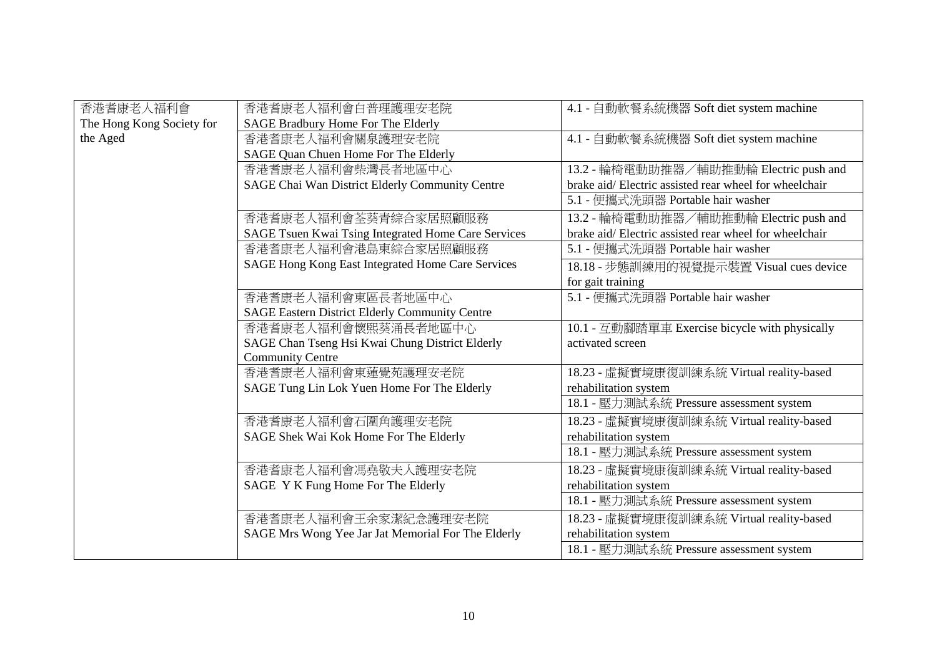| 香港耆康老人福利會                 | 香港耆康老人福利會白普理護理安老院                                     | 4.1 - 自動軟餐系統機器 Soft diet system machine               |
|---------------------------|-------------------------------------------------------|-------------------------------------------------------|
| The Hong Kong Society for | SAGE Bradbury Home For The Elderly                    |                                                       |
| the Aged                  | 香港耆康老人福利會關泉護理安老院                                      | 4.1 - 自動軟餐系統機器 Soft diet system machine               |
|                           | SAGE Quan Chuen Home For The Elderly                  |                                                       |
|                           | 香港耆康老人福利會柴灣長者地區中心                                     | 13.2 - 輪椅電動助推器/輔助推動輪 Electric push and                |
|                           | SAGE Chai Wan District Elderly Community Centre       | brake aid/Electric assisted rear wheel for wheelchair |
|                           |                                                       | 5.1 - 便攜式洗頭器 Portable hair washer                     |
|                           | 香港耆康老人福利會荃葵青綜合家居照顧服務                                  | 13.2 - 輪椅電動助推器/輔助推動輪 Electric push and                |
|                           | SAGE Tsuen Kwai Tsing Integrated Home Care Services   | brake aid/Electric assisted rear wheel for wheelchair |
|                           | 香港耆康老人福利會港島東綜合家居照顧服務                                  | 5.1 - 便攜式洗頭器 Portable hair washer                     |
|                           | SAGE Hong Kong East Integrated Home Care Services     | 18.18 - 步態訓練用的視覺提示裝置 Visual cues device               |
|                           |                                                       | for gait training                                     |
|                           | 香港耆康老人福利會東區長者地區中心                                     | 5.1 - 便攜式洗頭器 Portable hair washer                     |
|                           | <b>SAGE Eastern District Elderly Community Centre</b> |                                                       |
|                           | 香港耆康老人福利會懷熙葵涌長者地區中心                                   | 10.1 - 互動腳踏單車 Exercise bicycle with physically        |
|                           | SAGE Chan Tseng Hsi Kwai Chung District Elderly       | activated screen                                      |
|                           | <b>Community Centre</b>                               |                                                       |
|                           | 香港耆康老人福利會東蓮覺苑護理安老院                                    | 18.23 - 虛擬實境康復訓練系統 Virtual reality-based              |
|                           | SAGE Tung Lin Lok Yuen Home For The Elderly           | rehabilitation system                                 |
|                           |                                                       | 18.1 - 壓力測試系統 Pressure assessment system              |
|                           | 香港耆康老人福利會石圍角護理安老院                                     | 18.23 - 虛擬實境康復訓練系統 Virtual reality-based              |
|                           | SAGE Shek Wai Kok Home For The Elderly                | rehabilitation system                                 |
|                           |                                                       | 18.1 - 壓力測試系統 Pressure assessment system              |
|                           | 香港耆康老人福利會馮堯敬夫人護理安老院                                   | 18.23 - 虛擬實境康復訓練系統 Virtual reality-based              |
|                           | SAGE Y K Fung Home For The Elderly                    | rehabilitation system                                 |
|                           |                                                       | 18.1 - 壓力測試系統 Pressure assessment system              |
|                           | 香港耆康老人福利會王余家潔紀念護理安老院                                  | 18.23 - 虛擬實境康復訓練系統 Virtual reality-based              |
|                           | SAGE Mrs Wong Yee Jar Jat Memorial For The Elderly    | rehabilitation system                                 |
|                           |                                                       | 18.1 - 壓力測試系統 Pressure assessment system              |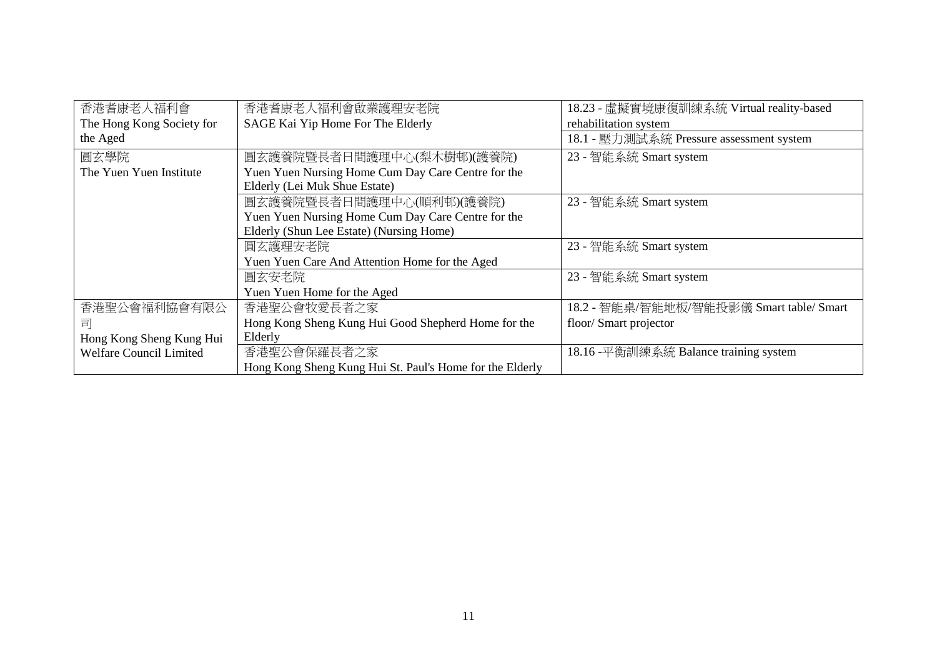| 香港耆康老人福利會                 | 香港耆康老人福利會啟業護理安老院                                         | 18.23 - 虛擬實境康復訓練系統 Virtual reality-based |
|---------------------------|----------------------------------------------------------|------------------------------------------|
| The Hong Kong Society for | SAGE Kai Yip Home For The Elderly                        | rehabilitation system                    |
| the Aged                  |                                                          | 18.1 - 壓力測試系統 Pressure assessment system |
| 圓玄學院                      | 圓玄護養院暨長者日間護理中心(梨木樹邨)(護養院)                                | 23 - 智能系統 Smart system                   |
| The Yuen Yuen Institute   | Yuen Yuen Nursing Home Cum Day Care Centre for the       |                                          |
|                           | Elderly (Lei Muk Shue Estate)                            |                                          |
|                           | 圓玄護養院暨長者日間護理中心(順利邨)(護養院)                                 | 23 - 智能系統 Smart system                   |
|                           | Yuen Yuen Nursing Home Cum Day Care Centre for the       |                                          |
|                           | Elderly (Shun Lee Estate) (Nursing Home)                 |                                          |
|                           | 圓玄護理安老院                                                  | 23 - 智能系統 Smart system                   |
|                           | Yuen Yuen Care And Attention Home for the Aged           |                                          |
|                           | 圓玄安老院                                                    | 23 - 智能系統 Smart system                   |
|                           | Yuen Yuen Home for the Aged                              |                                          |
| 香港聖公會福利協會有限公              | 香港聖公會牧愛長者之家                                              | 18.2 - 智能桌/智能地板/智能投影儀 Smart table/ Smart |
| 司                         | Hong Kong Sheng Kung Hui Good Shepherd Home for the      | floor/Smart projector                    |
| Hong Kong Sheng Kung Hui  | Elderly                                                  |                                          |
| Welfare Council Limited   | 香港聖公會保羅長者之家                                              | 18.16 -平衡訓練系統 Balance training system    |
|                           | Hong Kong Sheng Kung Hui St. Paul's Home for the Elderly |                                          |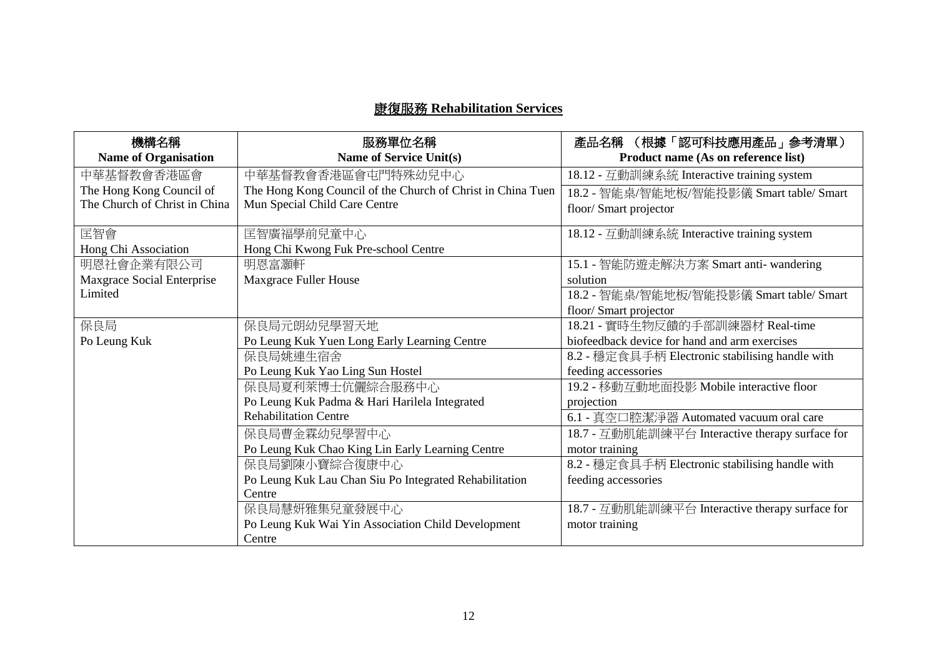## 康復服務 **Rehabilitation Services**

| 機構名稱                          | 服務單位名稱                                                      | 產品名稱 (根據「認可科技應用產品」參考清單)                         |
|-------------------------------|-------------------------------------------------------------|-------------------------------------------------|
| <b>Name of Organisation</b>   | Name of Service Unit(s)                                     | Product name (As on reference list)             |
| 中華基督教會香港區會                    | 中華基督教會香港區會屯門特殊幼兒中心                                          | 18.12 - 互動訓練系統 Interactive training system      |
| The Hong Kong Council of      | The Hong Kong Council of the Church of Christ in China Tuen | 18.2 - 智能桌/智能地板/智能投影儀 Smart table/ Smart        |
| The Church of Christ in China | Mun Special Child Care Centre                               | floor/ Smart projector                          |
| 匡智會                           | 匡智廣福學前兒童中心                                                  | 18.12 - 互動訓練系統 Interactive training system      |
| Hong Chi Association          | Hong Chi Kwong Fuk Pre-school Centre                        |                                                 |
| 明恩社會企業有限公司                    | 明恩富灝軒                                                       | 15.1 - 智能防遊走解決方案 Smart anti- wandering          |
| Maxgrace Social Enterprise    | Maxgrace Fuller House                                       | solution                                        |
| Limited                       |                                                             | 18.2 - 智能桌/智能地板/智能投影儀 Smart table/ Smart        |
|                               |                                                             | floor/ Smart projector                          |
| 保良局                           | 保良局元朗幼兒學習天地                                                 | 18.21 - 實時生物反饋的手部訓練器材 Real-time                 |
| Po Leung Kuk                  | Po Leung Kuk Yuen Long Early Learning Centre                | biofeedback device for hand and arm exercises   |
|                               | 保良局姚連生宿舍                                                    | 8.2 - 穩定食具手柄 Electronic stabilising handle with |
|                               | Po Leung Kuk Yao Ling Sun Hostel                            | feeding accessories                             |
|                               | 保良局夏利萊博士伉儷綜合服務中心                                            | 19.2 - 移動互動地面投影 Mobile interactive floor        |
|                               | Po Leung Kuk Padma & Hari Harilela Integrated               | projection                                      |
|                               | <b>Rehabilitation Centre</b>                                | 6.1 - 真空口腔潔淨器 Automated vacuum oral care        |
|                               | 保良局曹金霖幼兒學習中心                                                | 18.7 - 互動肌能訓練平台 Interactive therapy surface for |
|                               | Po Leung Kuk Chao King Lin Early Learning Centre            | motor training                                  |
|                               | 保良局劉陳小寶綜合復康中心                                               | 8.2 - 穩定食具手柄 Electronic stabilising handle with |
|                               | Po Leung Kuk Lau Chan Siu Po Integrated Rehabilitation      | feeding accessories                             |
|                               | Centre                                                      |                                                 |
|                               | 保良局慧妍雅集兒童發展中心                                               | 18.7 - 互動肌能訓練平台 Interactive therapy surface for |
|                               | Po Leung Kuk Wai Yin Association Child Development          | motor training                                  |
|                               | Centre                                                      |                                                 |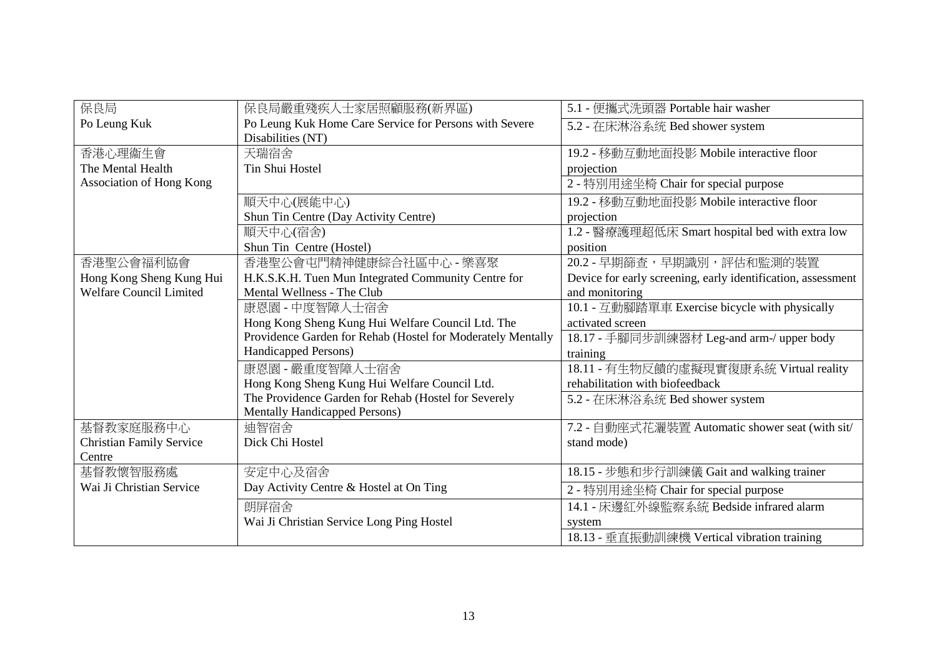| 保良局                             | 保良局嚴重殘疾人士家居照顧服務(新界區)                                        | 5.1 - 便攜式洗頭器 Portable hair washer                            |
|---------------------------------|-------------------------------------------------------------|--------------------------------------------------------------|
| Po Leung Kuk                    | Po Leung Kuk Home Care Service for Persons with Severe      | 5.2 - 在床淋浴系统 Bed shower system                               |
|                                 | Disabilities (NT)                                           |                                                              |
| 香港心理衞生會                         | 天瑞宿舍                                                        | 19.2 - 移動互動地面投影 Mobile interactive floor                     |
| The Mental Health               | Tin Shui Hostel                                             | projection                                                   |
| Association of Hong Kong        |                                                             | 2 - 特別用途坐椅 Chair for special purpose                         |
|                                 | 順天中心(展能中心)                                                  | 19.2 - 移動互動地面投影 Mobile interactive floor                     |
|                                 | Shun Tin Centre (Day Activity Centre)                       | projection                                                   |
|                                 | 順天中心(宿舍)                                                    | 1.2 - 醫療護理超低床 Smart hospital bed with extra low              |
|                                 | Shun Tin Centre (Hostel)                                    | position                                                     |
| 香港聖公會福利協會                       | 香港聖公會屯門精神健康綜合社區中心 - 樂喜聚                                     | 20.2 - 早期篩查,早期識別,評估和監測的裝置                                    |
| Hong Kong Sheng Kung Hui        | H.K.S.K.H. Tuen Mun Integrated Community Centre for         | Device for early screening, early identification, assessment |
| <b>Welfare Council Limited</b>  | Mental Wellness - The Club                                  | and monitoring                                               |
|                                 | 康恩園 - 中度智障人士宿舍                                              | 10.1 - 互動腳踏單車 Exercise bicycle with physically               |
|                                 | Hong Kong Sheng Kung Hui Welfare Council Ltd. The           | activated screen                                             |
|                                 | Providence Garden for Rehab (Hostel for Moderately Mentally | 18.17 - 手腳同步訓練器材 Leg-and arm-/ upper body                    |
|                                 | Handicapped Persons)                                        | training                                                     |
|                                 | 康恩園 - 嚴重度智障人士宿舍                                             | 18.11 - 有生物反饋的虛擬現實復康系統 Virtual reality                       |
|                                 | Hong Kong Sheng Kung Hui Welfare Council Ltd.               | rehabilitation with biofeedback                              |
|                                 | The Providence Garden for Rehab (Hostel for Severely        | 5.2 - 在床淋浴系统 Bed shower system                               |
|                                 | <b>Mentally Handicapped Persons)</b>                        |                                                              |
| 基督教家庭服務中心                       | 迪智宿舍                                                        | 7.2 - 自動座式花灑裝置 Automatic shower seat (with sit/              |
| <b>Christian Family Service</b> | Dick Chi Hostel                                             | stand mode)                                                  |
| Centre                          |                                                             |                                                              |
| 基督教懷智服務處                        | 安定中心及宿舍                                                     | 18.15 - 步態和步行訓練儀 Gait and walking trainer                    |
| Wai Ji Christian Service        | Day Activity Centre & Hostel at On Ting                     | 2 - 特別用途坐椅 Chair for special purpose                         |
|                                 | 朗屏宿舍                                                        | 14.1 - 床邊紅外線監察系統 Bedside infrared alarm                      |
|                                 | Wai Ji Christian Service Long Ping Hostel                   | system                                                       |
|                                 |                                                             | 18.13 - 垂直振動訓練機 Vertical vibration training                  |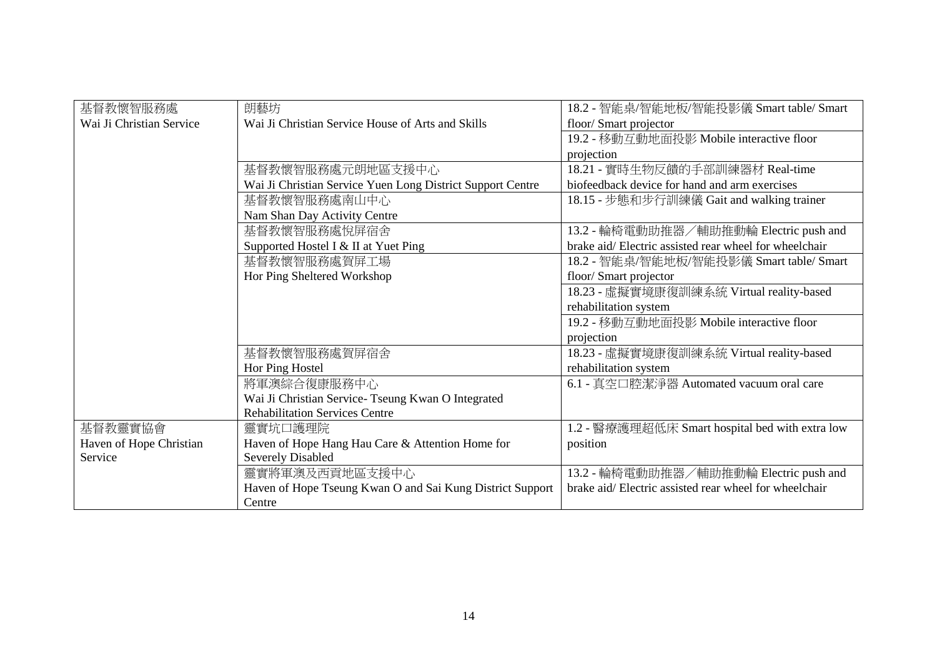| 基督教懷智服務處                 | 朗藝坊                                                        | 18.2 - 智能桌/智能地板/智能投影儀 Smart table/ Smart              |
|--------------------------|------------------------------------------------------------|-------------------------------------------------------|
| Wai Ji Christian Service | Wai Ji Christian Service House of Arts and Skills          | floor/ Smart projector                                |
|                          |                                                            | 19.2 - 移動互動地面投影 Mobile interactive floor              |
|                          |                                                            | projection                                            |
|                          | 基督教懷智服務處元朗地區支援中心                                           | 18.21 - 實時生物反饋的手部訓練器材 Real-time                       |
|                          | Wai Ji Christian Service Yuen Long District Support Centre | biofeedback device for hand and arm exercises         |
|                          | 基督教懷智服務處南山中心                                               | 18.15 - 步態和步行訓練儀 Gait and walking trainer             |
|                          | Nam Shan Day Activity Centre                               |                                                       |
|                          | 基督教懷智服務處悅屏宿舍                                               | 13.2 - 輪椅電動助推器/輔助推動輪 Electric push and                |
|                          | Supported Hostel I & II at Yuet Ping                       | brake aid/Electric assisted rear wheel for wheelchair |
|                          | 基督教懷智服務處賀屏工場                                               | 18.2 - 智能桌/智能地板/智能投影儀 Smart table/ Smart              |
|                          | Hor Ping Sheltered Workshop                                | floor/ Smart projector                                |
|                          |                                                            | 18.23 - 虛擬實境康復訓練系統 Virtual reality-based              |
|                          |                                                            | rehabilitation system                                 |
|                          |                                                            | 19.2 - 移動互動地面投影 Mobile interactive floor              |
|                          |                                                            | projection                                            |
|                          | 基督教懷智服務處賀屏宿舍                                               | 18.23 - 虛擬實境康復訓練系統 Virtual reality-based              |
|                          | Hor Ping Hostel                                            | rehabilitation system                                 |
|                          | 將軍澳綜合復康服務中心                                                | 6.1 - 真空口腔潔淨器 Automated vacuum oral care              |
|                          | Wai Ji Christian Service- Tseung Kwan O Integrated         |                                                       |
|                          | <b>Rehabilitation Services Centre</b>                      |                                                       |
| 基督教靈實協會                  | 靈實坑口護理院                                                    | 1.2 - 醫療護理超低床 Smart hospital bed with extra low       |
| Haven of Hope Christian  | Haven of Hope Hang Hau Care & Attention Home for           | position                                              |
| Service                  | <b>Severely Disabled</b>                                   |                                                       |
|                          | 靈實將軍澳及西貢地區支援中心                                             | 13.2 - 輪椅電動助推器/輔助推動輪 Electric push and                |
|                          | Haven of Hope Tseung Kwan O and Sai Kung District Support  | brake aid/Electric assisted rear wheel for wheelchair |
|                          | Centre                                                     |                                                       |